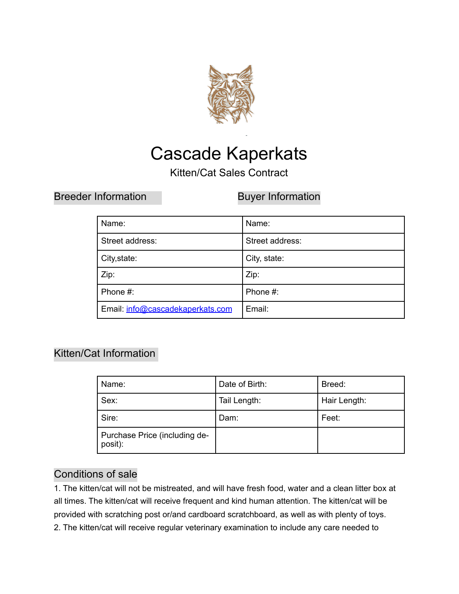

# Cascade Kaperkats

Kitten/Cat Sales Contract

Breeder Information **Buyer Information** 

| Name:                            | Name:           |
|----------------------------------|-----------------|
| Street address:                  | Street address: |
| City, state:                     | City, state:    |
| Zip:                             | Zip:            |
| Phone #:                         | Phone #:        |
| Email: info@cascadekaperkats.com | Email:          |

# Kitten/Cat Information

| Name:                                    | Date of Birth: | Breed:       |
|------------------------------------------|----------------|--------------|
| Sex:                                     | Tail Length:   | Hair Length: |
| Sire:                                    | Dam:           | Feet:        |
| Purchase Price (including de-<br>posit): |                |              |

# Conditions of sale

1. The kitten/cat will not be mistreated, and will have fresh food, water and a clean litter box at all times. The kitten/cat will receive frequent and kind human attention. The kitten/cat will be provided with scratching post or/and cardboard scratchboard, as well as with plenty of toys. 2. The kitten/cat will receive regular veterinary examination to include any care needed to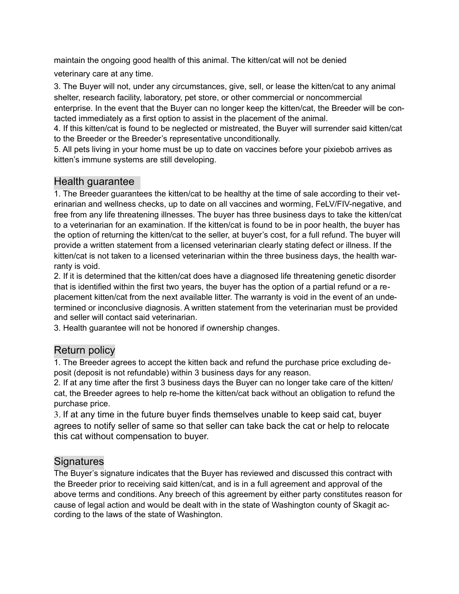maintain the ongoing good health of this animal. The kitten/cat will not be denied

veterinary care at any time.

3. The Buyer will not, under any circumstances, give, sell, or lease the kitten/cat to any animal shelter, research facility, laboratory, pet store, or other commercial or noncommercial enterprise. In the event that the Buyer can no longer keep the kitten/cat, the Breeder will be contacted immediately as a first option to assist in the placement of the animal.

4. If this kitten/cat is found to be neglected or mistreated, the Buyer will surrender said kitten/cat to the Breeder or the Breeder's representative unconditionally.

5. All pets living in your home must be up to date on vaccines before your pixiebob arrives as kitten's immune systems are still developing.

## Health guarantee

1. The Breeder guarantees the kitten/cat to be healthy at the time of sale according to their veterinarian and wellness checks, up to date on all vaccines and worming, FeLV/FIV-negative, and free from any life threatening illnesses. The buyer has three business days to take the kitten/cat to a veterinarian for an examination. If the kitten/cat is found to be in poor health, the buyer has the option of returning the kitten/cat to the seller, at buyer's cost, for a full refund. The buyer will provide a written statement from a licensed veterinarian clearly stating defect or illness. If the kitten/cat is not taken to a licensed veterinarian within the three business days, the health warranty is void.

2. If it is determined that the kitten/cat does have a diagnosed life threatening genetic disorder that is identified within the first two years, the buyer has the option of a partial refund or a replacement kitten/cat from the next available litter. The warranty is void in the event of an undetermined or inconclusive diagnosis. A written statement from the veterinarian must be provided and seller will contact said veterinarian.

3. Health guarantee will not be honored if ownership changes.

## Return policy

1. The Breeder agrees to accept the kitten back and refund the purchase price excluding deposit (deposit is not refundable) within 3 business days for any reason.

2. If at any time after the first 3 business days the Buyer can no longer take care of the kitten/ cat, the Breeder agrees to help re-home the kitten/cat back without an obligation to refund the purchase price.

3. If at any time in the future buyer finds themselves unable to keep said cat, buyer agrees to notify seller of same so that seller can take back the cat or help to relocate this cat without compensation to buyer.

## Signatures

The Buyer's signature indicates that the Buyer has reviewed and discussed this contract with the Breeder prior to receiving said kitten/cat, and is in a full agreement and approval of the above terms and conditions. Any breech of this agreement by either party constitutes reason for cause of legal action and would be dealt with in the state of Washington county of Skagit according to the laws of the state of Washington.